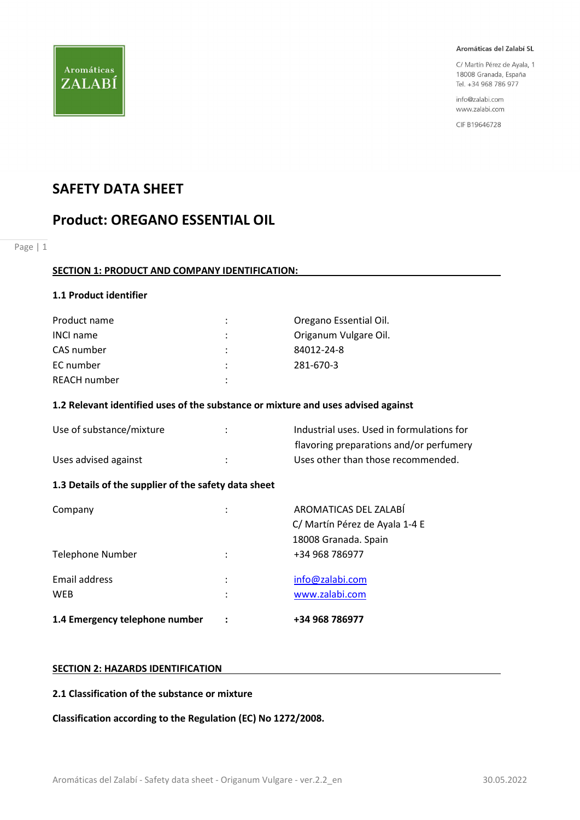

C/ Martín Pérez de Ayala, 1 18008 Granada, España Tel. +34 968 786 977

info@zalabi.com www.zalabi.com

CIF B19646728

## SAFETY DATA SHEET

## Product: OREGANO ESSENTIAL OIL

Page | 1

## SECTION 1: PRODUCT AND COMPANY IDENTIFICATION:

## 1.1 Product identifier

| Product name     | $\bullet$            | Oregano Essential Oil. |
|------------------|----------------------|------------------------|
| <b>INCI name</b> | ÷                    | Origanum Vulgare Oil.  |
| CAS number       | $\ddot{\phantom{0}}$ | 84012-24-8             |
| EC number        |                      | 281-670-3              |
| REACH number     |                      |                        |

## 1.2 Relevant identified uses of the substance or mixture and uses advised against

| Use of substance/mixture | Industrial uses. Used in formulations for |
|--------------------------|-------------------------------------------|
|                          | flavoring preparations and/or perfumery   |
| Uses advised against     | Uses other than those recommended.        |

## 1.3 Details of the supplier of the safety data sheet

| 1.4 Emergency telephone number |        | +34 968 786977                                          |
|--------------------------------|--------|---------------------------------------------------------|
| Email address<br><b>WEB</b>    | ٠<br>٠ | info@zalabi.com<br>www.zalabi.com                       |
| Telephone Number               |        | 18008 Granada. Spain<br>+34 968 786977                  |
| Company                        | ٠      | AROMATICAS DEL ZALABÍ<br>C/ Martín Pérez de Ayala 1-4 E |

## SECTION 2: HAZARDS IDENTIFICATION

### 2.1 Classification of the substance or mixture

Classification according to the Regulation (EC) No 1272/2008.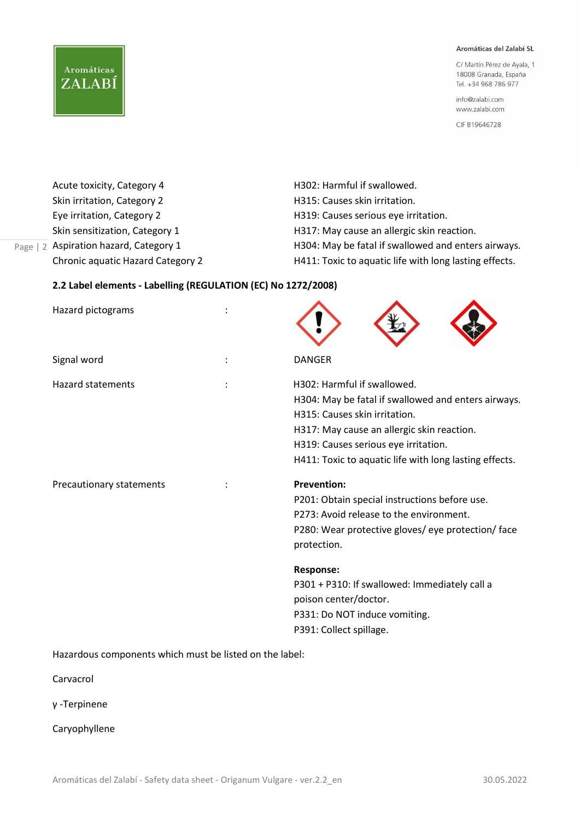C/ Martín Pérez de Ayala, 1 18008 Granada, España Tel. +34 968 786 977

info@zalabi.com www.zalabi.com

CIF B19646728

| Acute toxicity, Category 4        | H302: Harmful if swallowed.                            |
|-----------------------------------|--------------------------------------------------------|
| Skin irritation, Category 2       | H315: Causes skin irritation.                          |
| Eye irritation, Category 2        | H319: Causes serious eye irritation.                   |
| Skin sensitization, Category 1    | H317: May cause an allergic skin reaction.             |
| Aspiration hazard, Category 1     | H304: May be fatal if swallowed and enters airways.    |
| Chronic aquatic Hazard Category 2 | H411: Toxic to aquatic life with long lasting effects. |
|                                   |                                                        |

## 2.2 Label elements - Labelling (REGULATION (EC) No 1272/2008)

| Hazard pictograms        |                                                                                                                                                                                                                                                                     |
|--------------------------|---------------------------------------------------------------------------------------------------------------------------------------------------------------------------------------------------------------------------------------------------------------------|
| Signal word              | <b>DANGER</b>                                                                                                                                                                                                                                                       |
| <b>Hazard statements</b> | H302: Harmful if swallowed.<br>H304: May be fatal if swallowed and enters airways.<br>H315: Causes skin irritation.<br>H317: May cause an allergic skin reaction.<br>H319: Causes serious eye irritation.<br>H411: Toxic to aquatic life with long lasting effects. |
| Precautionary statements | <b>Prevention:</b><br>P201: Obtain special instructions before use.<br>P273: Avoid release to the environment.<br>P280: Wear protective gloves/eye protection/face<br>protection.                                                                                   |
|                          | <b>Response:</b><br>P301 + P310: If swallowed: Immediately call a<br>poison center/doctor.<br>P331: Do NOT induce vomiting.<br>P391: Collect spillage.                                                                                                              |

Hazardous components which must be listed on the label:

Carvacrol

Page | 2

**Aromáticas** 

ZALABÍ

γ -Terpinene

Caryophyllene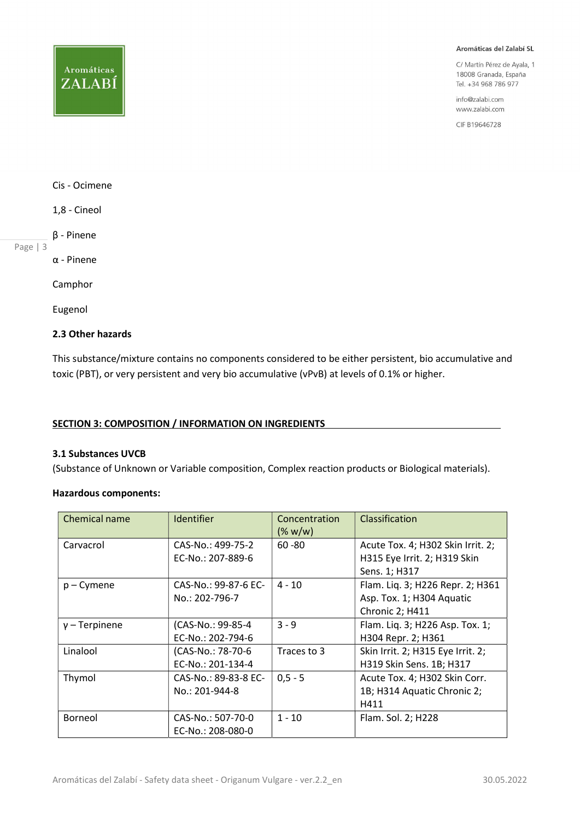## **Aromáticas** ZALABÍ

#### Aromáticas del Zalabí SL

C/ Martín Pérez de Ayala, 1 18008 Granada, España Tel. +34 968 786 977

info@zalabi.com www.zalabi.com

CIF B19646728

## Cis - Ocimene

1,8 - Cineol

β - Pinene

Page | 3

α - Pinene

Camphor

Eugenol

## 2.3 Other hazards

This substance/mixture contains no components considered to be either persistent, bio accumulative and toxic (PBT), or very persistent and very bio accumulative (vPvB) at levels of 0.1% or higher.

## SECTION 3: COMPOSITION / INFORMATION ON INGREDIENTS

#### 3.1 Substances UVCB

(Substance of Unknown or Variable composition, Complex reaction products or Biological materials).

## Hazardous components:

| Chemical name   | Identifier           | Concentration<br>(% w/w) | Classification                    |
|-----------------|----------------------|--------------------------|-----------------------------------|
| Carvacrol       | CAS-No.: 499-75-2    | $60 - 80$                | Acute Tox. 4; H302 Skin Irrit. 2; |
|                 | EC-No.: 207-889-6    |                          | H315 Eye Irrit. 2; H319 Skin      |
|                 |                      |                          | Sens. 1; H317                     |
| $p - C$ ymene   | CAS-No.: 99-87-6 EC- | $4 - 10$                 | Flam. Liq. 3; H226 Repr. 2; H361  |
|                 | No.: 202-796-7       |                          | Asp. Tox. 1; H304 Aquatic         |
|                 |                      |                          | Chronic 2; H411                   |
| $y$ – Terpinene | (CAS-No.: 99-85-4    | $3 - 9$                  | Flam. Liq. 3; H226 Asp. Tox. 1;   |
|                 | EC-No.: 202-794-6    |                          | H304 Repr. 2; H361                |
| Linalool        | (CAS-No.: 78-70-6    | Traces to 3              | Skin Irrit. 2; H315 Eye Irrit. 2; |
|                 | EC-No.: 201-134-4    |                          | H319 Skin Sens. 1B; H317          |
| Thymol          | CAS-No.: 89-83-8 EC- | $0.5 - 5$                | Acute Tox. 4; H302 Skin Corr.     |
|                 | No.: 201-944-8       |                          | 1B; H314 Aquatic Chronic 2;       |
|                 |                      |                          | H411                              |
| Borneol         | CAS-No.: 507-70-0    | $1 - 10$                 | Flam. Sol. 2; H228                |
|                 | EC-No.: 208-080-0    |                          |                                   |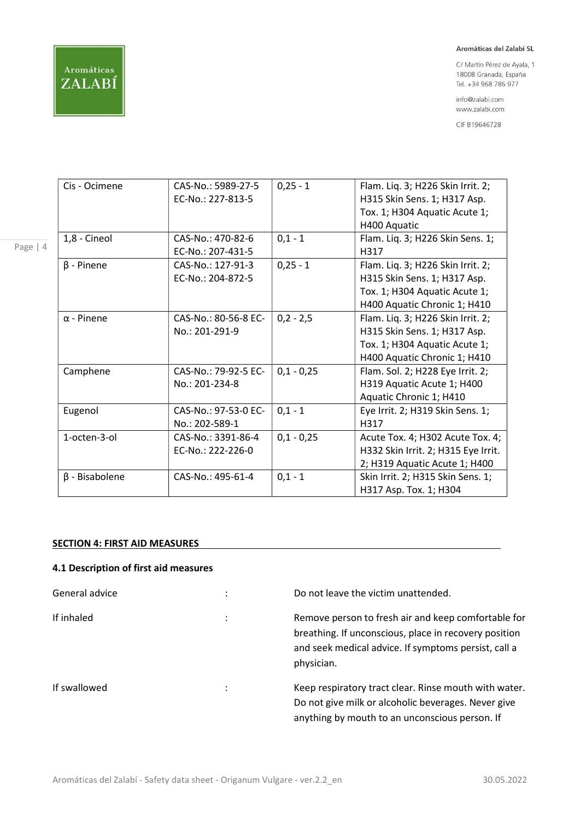

Page | 4

#### Aromáticas del Zalabí SL

C/ Martín Pérez de Ayala, 1 18008 Granada, España Tel. +34 968 786 977

info@zalabi.com www.zalabi.com

CIF B19646728

| Cis - Ocimene        | CAS-No.: 5989-27-5<br>EC-No.: 227-813-5 | $0,25 - 1$   | Flam. Liq. 3; H226 Skin Irrit. 2;<br>H315 Skin Sens. 1; H317 Asp.<br>Tox. 1; H304 Aquatic Acute 1;<br>H400 Aquatic                 |
|----------------------|-----------------------------------------|--------------|------------------------------------------------------------------------------------------------------------------------------------|
| 1,8 - Cineol         | CAS-No.: 470-82-6<br>EC-No.: 207-431-5  | $0,1 - 1$    | Flam. Liq. 3; H226 Skin Sens. 1;<br>H317                                                                                           |
| $\beta$ - Pinene     | CAS-No.: 127-91-3<br>EC-No.: 204-872-5  | $0,25 - 1$   | Flam. Liq. 3; H226 Skin Irrit. 2;<br>H315 Skin Sens. 1; H317 Asp.<br>Tox. 1; H304 Aquatic Acute 1;<br>H400 Aquatic Chronic 1; H410 |
| $\alpha$ - Pinene    | CAS-No.: 80-56-8 EC-<br>No.: 201-291-9  | $0,2 - 2,5$  | Flam. Liq. 3; H226 Skin Irrit. 2;<br>H315 Skin Sens. 1; H317 Asp.<br>Tox. 1; H304 Aquatic Acute 1;<br>H400 Aquatic Chronic 1; H410 |
| Camphene             | CAS-No.: 79-92-5 EC-<br>No.: 201-234-8  | $0,1 - 0,25$ | Flam. Sol. 2; H228 Eye Irrit. 2;<br>H319 Aquatic Acute 1; H400<br>Aquatic Chronic 1; H410                                          |
| Eugenol              | CAS-No.: 97-53-0 EC-<br>No.: 202-589-1  | $0,1 - 1$    | Eye Irrit. 2; H319 Skin Sens. 1;<br>H317                                                                                           |
| 1-octen-3-ol         | CAS-No.: 3391-86-4<br>EC-No.: 222-226-0 | $0,1 - 0,25$ | Acute Tox. 4; H302 Acute Tox. 4;<br>H332 Skin Irrit. 2; H315 Eye Irrit.<br>2; H319 Aquatic Acute 1; H400                           |
| $\beta$ - Bisabolene | CAS-No.: 495-61-4                       | $0,1 - 1$    | Skin Irrit. 2; H315 Skin Sens. 1;<br>H317 Asp. Tox. 1; H304                                                                        |

## SECTION 4: FIRST AID MEASURES

## 4.1 Description of first aid measures

| General advice | ٠                    | Do not leave the victim unattended.                                                                                                                                                |
|----------------|----------------------|------------------------------------------------------------------------------------------------------------------------------------------------------------------------------------|
| If inhaled     | $\ddot{\phantom{a}}$ | Remove person to fresh air and keep comfortable for<br>breathing. If unconscious, place in recovery position<br>and seek medical advice. If symptoms persist, call a<br>physician. |
| If swallowed   | ٠                    | Keep respiratory tract clear. Rinse mouth with water.<br>Do not give milk or alcoholic beverages. Never give<br>anything by mouth to an unconscious person. If                     |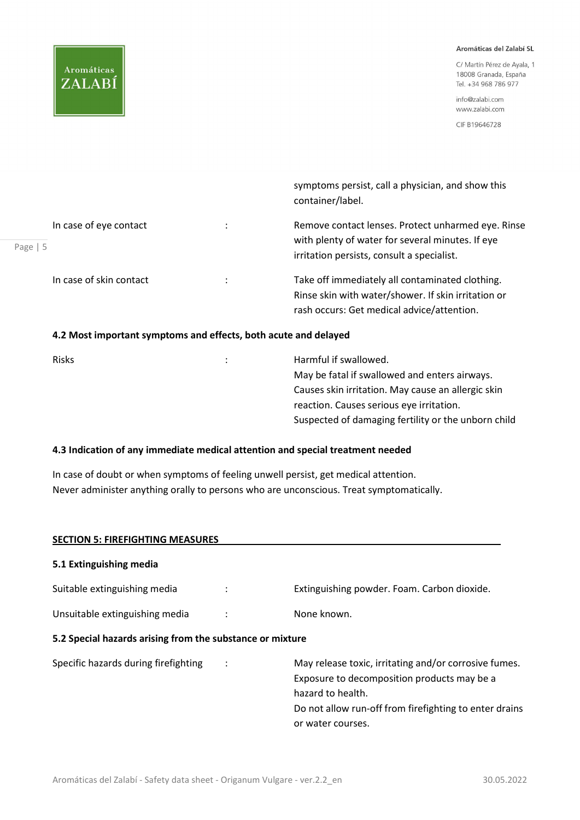## **Aromáticas** ZALABÍ

#### Aromáticas del Zalabí SL

C/ Martín Pérez de Ayala, 1 18008 Granada, España Tel. +34 968 786 977

info@zalabi.com www.zalabi.com

CIF B19646728

|            |                                                                 | symptoms persist, call a physician, and show this<br>container/label.                                                                                |
|------------|-----------------------------------------------------------------|------------------------------------------------------------------------------------------------------------------------------------------------------|
| Page   $5$ | In case of eye contact                                          | Remove contact lenses. Protect unharmed eye. Rinse<br>with plenty of water for several minutes. If eye<br>irritation persists, consult a specialist. |
|            | In case of skin contact                                         | Take off immediately all contaminated clothing.<br>Rinse skin with water/shower. If skin irritation or<br>rash occurs: Get medical advice/attention. |
|            | 4.2 Most important symptoms and effects, both acute and delayed |                                                                                                                                                      |

| <b>Risks</b> | $\ddot{\phantom{0}}$ | Harmful if swallowed.                               |
|--------------|----------------------|-----------------------------------------------------|
|              |                      | May be fatal if swallowed and enters airways.       |
|              |                      | Causes skin irritation. May cause an allergic skin  |
|              |                      | reaction. Causes serious eye irritation.            |
|              |                      | Suspected of damaging fertility or the unborn child |
|              |                      |                                                     |

## 4.3 Indication of any immediate medical attention and special treatment needed

In case of doubt or when symptoms of feeling unwell persist, get medical attention. Never administer anything orally to persons who are unconscious. Treat symptomatically.

| <b>SECTION 5: FIREFIGHTING MEASURES</b>                   |                |                                                                                                                                                                                                          |
|-----------------------------------------------------------|----------------|----------------------------------------------------------------------------------------------------------------------------------------------------------------------------------------------------------|
| 5.1 Extinguishing media                                   |                |                                                                                                                                                                                                          |
| Suitable extinguishing media                              |                | Extinguishing powder. Foam. Carbon dioxide.                                                                                                                                                              |
| Unsuitable extinguishing media                            |                | None known.                                                                                                                                                                                              |
| 5.2 Special hazards arising from the substance or mixture |                |                                                                                                                                                                                                          |
| Specific hazards during firefighting                      | $\ddot{\cdot}$ | May release toxic, irritating and/or corrosive fumes.<br>Exposure to decomposition products may be a<br>hazard to health.<br>Do not allow run-off from firefighting to enter drains<br>or water courses. |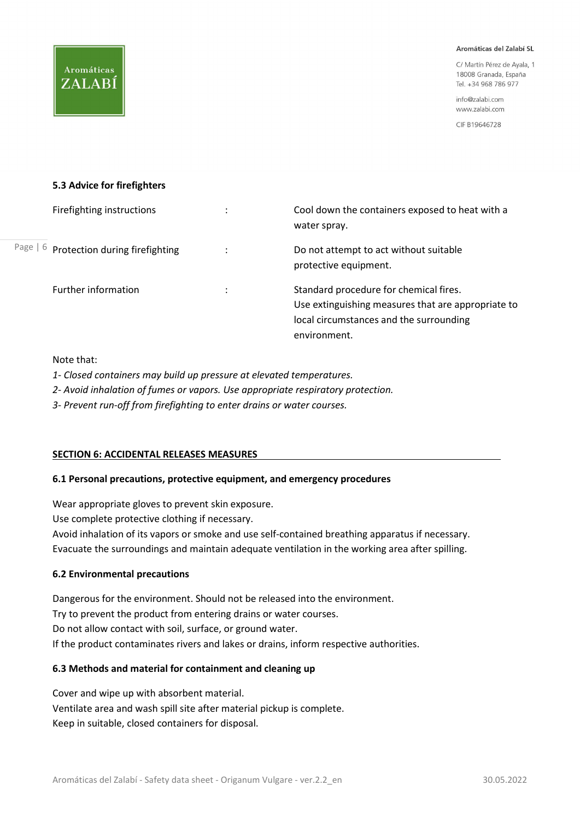C/ Martín Pérez de Ayala, 1 18008 Granada, España Tel. +34 968 786 977

info@zalabi.com www.zalabi.com

CIF B19646728

## 5.3 Advice for firefighters

**Aromáticas** 

ZALABÍ

| Firefighting instructions               | Cool down the containers exposed to heat with a<br>water spray.                                                                                         |
|-----------------------------------------|---------------------------------------------------------------------------------------------------------------------------------------------------------|
| Page   6 Protection during firefighting | Do not attempt to act without suitable<br>protective equipment.                                                                                         |
| Further information                     | Standard procedure for chemical fires.<br>Use extinguishing measures that are appropriate to<br>local circumstances and the surrounding<br>environment. |

## Note that:

1- Closed containers may build up pressure at elevated temperatures.

2- Avoid inhalation of fumes or vapors. Use appropriate respiratory protection.

3- Prevent run-off from firefighting to enter drains or water courses.

## SECTION 6: ACCIDENTAL RELEASES MEASURES

## 6.1 Personal precautions, protective equipment, and emergency procedures

Wear appropriate gloves to prevent skin exposure.

Use complete protective clothing if necessary.

Avoid inhalation of its vapors or smoke and use self-contained breathing apparatus if necessary. Evacuate the surroundings and maintain adequate ventilation in the working area after spilling.

## 6.2 Environmental precautions

Dangerous for the environment. Should not be released into the environment. Try to prevent the product from entering drains or water courses. Do not allow contact with soil, surface, or ground water. If the product contaminates rivers and lakes or drains, inform respective authorities.

## 6.3 Methods and material for containment and cleaning up

Cover and wipe up with absorbent material. Ventilate area and wash spill site after material pickup is complete. Keep in suitable, closed containers for disposal.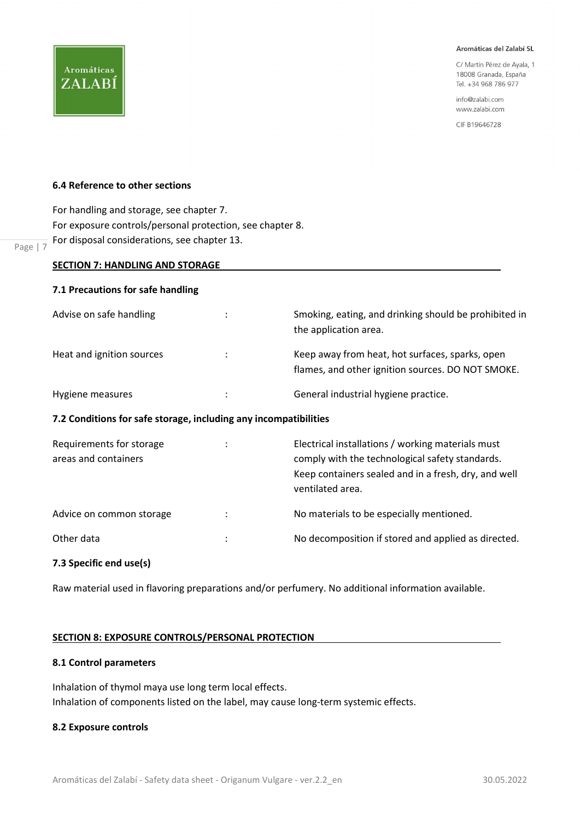C/ Martín Pérez de Ayala, 1 18008 Granada, España Tel. +34 968 786 977

info@zalabi.com www.zalabi.com

CIF B19646728

## 6.4 Reference to other sections

**Aromáticas** 

ZALABÍ

 $\frac{1}{\text{Page} \mid 7}$  For disposal considerations, see chapter 13. For handling and storage, see chapter 7. For exposure controls/personal protection, see chapter 8.

| <b>SECTION 7: HANDLING AND STORAGE</b>                           |   |                                                                                                                                                                                  |  |
|------------------------------------------------------------------|---|----------------------------------------------------------------------------------------------------------------------------------------------------------------------------------|--|
| 7.1 Precautions for safe handling                                |   |                                                                                                                                                                                  |  |
| Advise on safe handling                                          |   | Smoking, eating, and drinking should be prohibited in<br>the application area.                                                                                                   |  |
| Heat and ignition sources                                        |   | Keep away from heat, hot surfaces, sparks, open<br>flames, and other ignition sources. DO NOT SMOKE.                                                                             |  |
| Hygiene measures                                                 | ÷ | General industrial hygiene practice.                                                                                                                                             |  |
| 7.2 Conditions for safe storage, including any incompatibilities |   |                                                                                                                                                                                  |  |
| Requirements for storage<br>areas and containers                 |   | Electrical installations / working materials must<br>comply with the technological safety standards.<br>Keep containers sealed and in a fresh, dry, and well<br>ventilated area. |  |
| Advice on common storage                                         |   | No materials to be especially mentioned.                                                                                                                                         |  |
| Other data                                                       |   | No decomposition if stored and applied as directed.                                                                                                                              |  |
|                                                                  |   |                                                                                                                                                                                  |  |

## 7.3 Specific end use(s)

Raw material used in flavoring preparations and/or perfumery. No additional information available.

## SECTION 8: EXPOSURE CONTROLS/PERSONAL PROTECTION

## 8.1 Control parameters

Inhalation of thymol maya use long term local effects. Inhalation of components listed on the label, may cause long-term systemic effects.

## 8.2 Exposure controls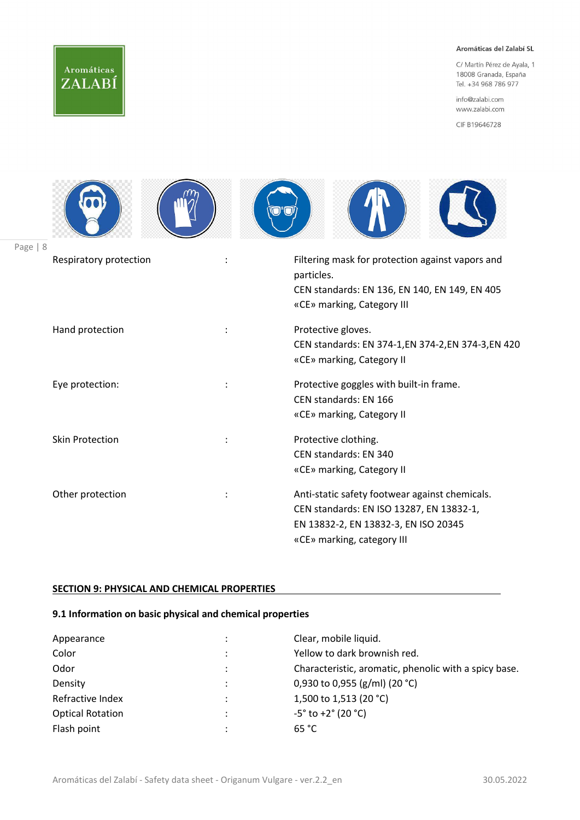# Aromáticas ZALABÍ

Page |

### Aromáticas del Zalabí SL

C/ Martín Pérez de Ayala, 1 18008 Granada, España Tel. +34 968 786 977

info@zalabi.com www.zalabi.com

CIF B19646728

| 8                      |                |                                                                                                                                                                  |
|------------------------|----------------|------------------------------------------------------------------------------------------------------------------------------------------------------------------|
| Respiratory protection |                | Filtering mask for protection against vapors and<br>particles.<br>CEN standards: EN 136, EN 140, EN 149, EN 405<br>«CE» marking, Category III                    |
| Hand protection        |                | Protective gloves.<br>CEN standards: EN 374-1, EN 374-2, EN 374-3, EN 420<br>«CE» marking, Category II                                                           |
| Eye protection:        | $\ddot{\cdot}$ | Protective goggles with built-in frame.<br>CEN standards: EN 166<br>«CE» marking, Category II                                                                    |
| <b>Skin Protection</b> |                | Protective clothing.<br>CEN standards: EN 340<br>«CE» marking, Category II                                                                                       |
| Other protection       |                | Anti-static safety footwear against chemicals.<br>CEN standards: EN ISO 13287, EN 13832-1,<br>EN 13832-2, EN 13832-3, EN ISO 20345<br>«CE» marking, category III |

## SECTION 9: PHYSICAL AND CHEMICAL PROPERTIES

## 9.1 Information on basic physical and chemical properties

| Appearance              | Clear, mobile liquid.                                 |  |
|-------------------------|-------------------------------------------------------|--|
| Color                   | Yellow to dark brownish red.                          |  |
| Odor                    | Characteristic, aromatic, phenolic with a spicy base. |  |
| Density                 | 0,930 to 0,955 (g/ml) (20 °C)                         |  |
| Refractive Index        | 1,500 to 1,513 (20 °C)                                |  |
| <b>Optical Rotation</b> | $-5^{\circ}$ to +2 $^{\circ}$ (20 $^{\circ}$ C)       |  |
| Flash point             | 65 °C                                                 |  |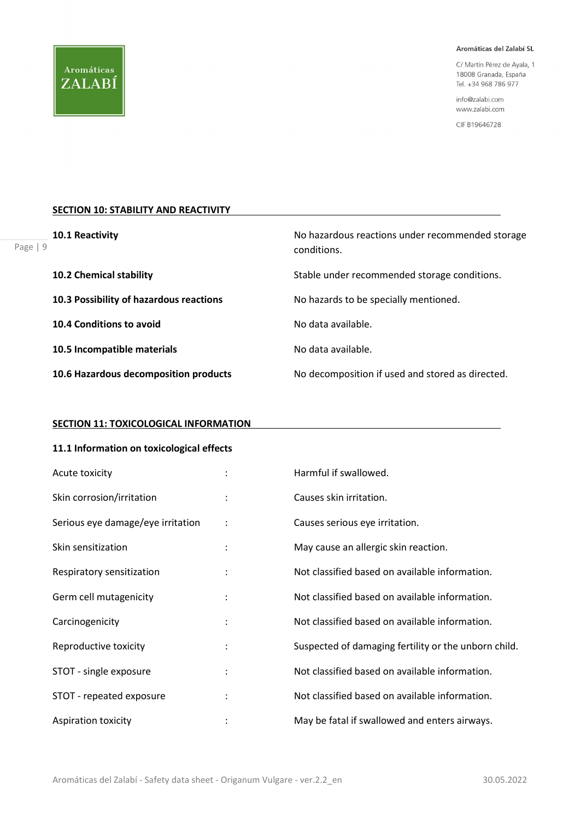Page |

#### Aromáticas del Zalabí SL

C/ Martín Pérez de Ayala, 1 18008 Granada, España Tel. +34 968 786 977

info@zalabi.com www.zalabi.com

CIF B19646728

## **SECTION 10: STABILITY AND REACTIVITY**

| 10.1 Reactivity<br>9                    | No hazardous reactions under recommended storage<br>conditions. |
|-----------------------------------------|-----------------------------------------------------------------|
| <b>10.2 Chemical stability</b>          | Stable under recommended storage conditions.                    |
| 10.3 Possibility of hazardous reactions | No hazards to be specially mentioned.                           |
| 10.4 Conditions to avoid                | No data available.                                              |
| 10.5 Incompatible materials             | No data available.                                              |
| 10.6 Hazardous decomposition products   | No decomposition if used and stored as directed.                |

## **SECTION 11: TOXICOLOGICAL INFORMATION**

## 11.1 Information on toxicological effects

| Acute toxicity                    |                      | Harmful if swallowed.                                |  |
|-----------------------------------|----------------------|------------------------------------------------------|--|
| Skin corrosion/irritation         |                      | Causes skin irritation.                              |  |
| Serious eye damage/eye irritation | $\ddot{\phantom{a}}$ | Causes serious eye irritation.                       |  |
| Skin sensitization                |                      | May cause an allergic skin reaction.                 |  |
| Respiratory sensitization         |                      | Not classified based on available information.       |  |
| Germ cell mutagenicity            |                      | Not classified based on available information.       |  |
| Carcinogenicity                   |                      | Not classified based on available information.       |  |
| Reproductive toxicity             |                      | Suspected of damaging fertility or the unborn child. |  |
| STOT - single exposure            |                      | Not classified based on available information.       |  |
| STOT - repeated exposure          |                      | Not classified based on available information.       |  |
| Aspiration toxicity               |                      | May be fatal if swallowed and enters airways.        |  |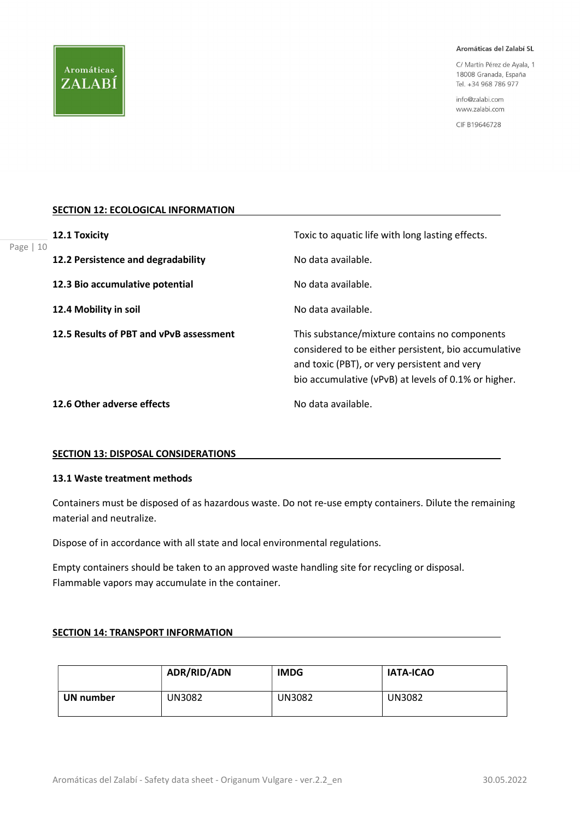C/ Martín Pérez de Ayala, 1 18008 Granada, España Tel. +34 968 786 977

info@zalabi.com www.zalabi.com

CIF B19646728

## SECTION 12: ECOLOGICAL INFORMATION

|            | 12.1 Toxicity                           | Toxic to aquatic life with long lasting effects.                                                                                                                                                              |  |
|------------|-----------------------------------------|---------------------------------------------------------------------------------------------------------------------------------------------------------------------------------------------------------------|--|
| Page $ 10$ | 12.2 Persistence and degradability      | No data available.                                                                                                                                                                                            |  |
|            | 12.3 Bio accumulative potential         | No data available.                                                                                                                                                                                            |  |
|            | 12.4 Mobility in soil                   | No data available.                                                                                                                                                                                            |  |
|            | 12.5 Results of PBT and vPvB assessment | This substance/mixture contains no components<br>considered to be either persistent, bio accumulative<br>and toxic (PBT), or very persistent and very<br>bio accumulative (vPvB) at levels of 0.1% or higher. |  |
|            | 12.6 Other adverse effects              | No data available.                                                                                                                                                                                            |  |

### SECTION 13: DISPOSAL CONSIDERATIONS

## 13.1 Waste treatment methods

Containers must be disposed of as hazardous waste. Do not re-use empty containers. Dilute the remaining material and neutralize.

Dispose of in accordance with all state and local environmental regulations.

Empty containers should be taken to an approved waste handling site for recycling or disposal. Flammable vapors may accumulate in the container.

### SECTION 14: TRANSPORT INFORMATION

|           | ADR/RID/ADN | <b>IMDG</b> | <b>IATA-ICAO</b> |
|-----------|-------------|-------------|------------------|
| UN number | UN3082      | UN3082      | UN3082           |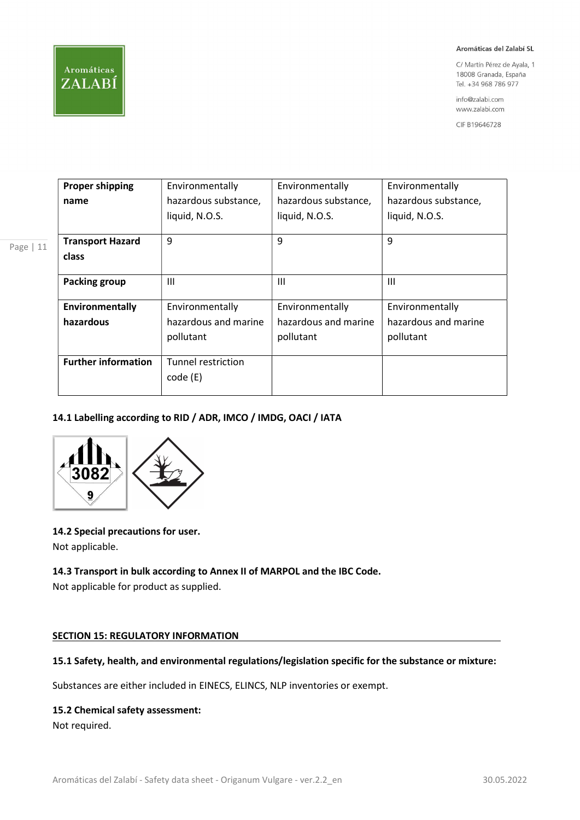

Page | 11

#### Aromáticas del Zalabí SL

C/ Martín Pérez de Ayala, 1 18008 Granada, España Tel. +34 968 786 977

info@zalabi.com www.zalabi.com

CIF B19646728

| <b>Proper shipping</b>     | Environmentally      | Environmentally      | Environmentally      |
|----------------------------|----------------------|----------------------|----------------------|
| name                       | hazardous substance, | hazardous substance, | hazardous substance, |
|                            | liquid, N.O.S.       | liquid, N.O.S.       | liquid, N.O.S.       |
|                            |                      |                      |                      |
| <b>Transport Hazard</b>    | 9                    | 9                    | 9                    |
| class                      |                      |                      |                      |
|                            |                      |                      |                      |
| Packing group              | $\mathbf{III}$       | Ш                    | Ш                    |
|                            |                      |                      |                      |
| Environmentally            | Environmentally      | Environmentally      | Environmentally      |
| hazardous                  | hazardous and marine | hazardous and marine | hazardous and marine |
|                            | pollutant            | pollutant            | pollutant            |
|                            |                      |                      |                      |
| <b>Further information</b> | Tunnel restriction   |                      |                      |
|                            | code (E)             |                      |                      |
|                            |                      |                      |                      |

## 14.1 Labelling according to RID / ADR, IMCO / IMDG, OACI / IATA



## 14.2 Special precautions for user.

Not applicable.

## 14.3 Transport in bulk according to Annex II of MARPOL and the IBC Code.

Not applicable for product as supplied.

## SECTION 15: REGULATORY INFORMATION

## 15.1 Safety, health, and environmental regulations/legislation specific for the substance or mixture:

Substances are either included in EINECS, ELINCS, NLP inventories or exempt.

## 15.2 Chemical safety assessment:

Not required.